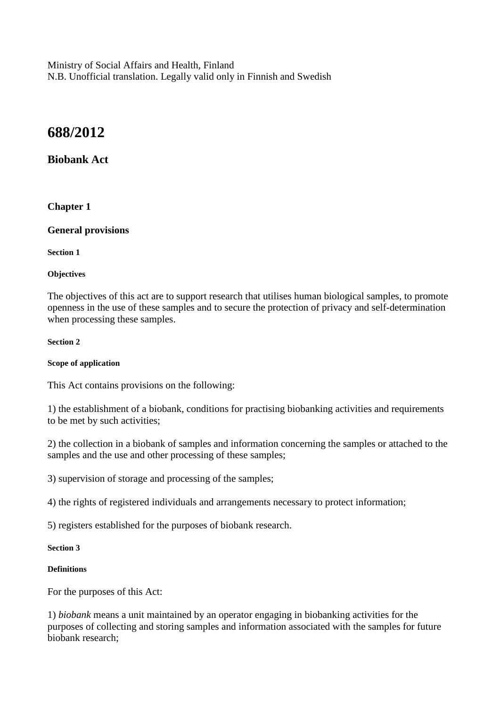Ministry of Social Affairs and Health, Finland N.B. Unofficial translation. Legally valid only in Finnish and Swedish

# **688/2012**

# **Biobank Act**

# **Chapter 1**

# **General provisions**

**Section 1**

# **Objectives**

The objectives of this act are to support research that utilises human biological samples, to promote openness in the use of these samples and to secure the protection of privacy and self-determination when processing these samples.

# **Section 2**

# **Scope of application**

This Act contains provisions on the following:

1) the establishment of a biobank, conditions for practising biobanking activities and requirements to be met by such activities;

2) the collection in a biobank of samples and information concerning the samples or attached to the samples and the use and other processing of these samples;

3) supervision of storage and processing of the samples;

4) the rights of registered individuals and arrangements necessary to protect information;

5) registers established for the purposes of biobank research.

# **Section 3**

# **Definitions**

For the purposes of this Act:

1) *biobank* means a unit maintained by an operator engaging in biobanking activities for the purposes of collecting and storing samples and information associated with the samples for future biobank research;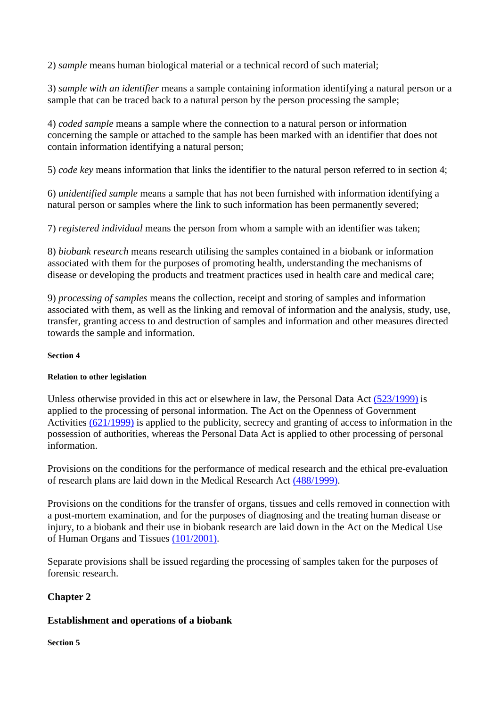2) *sample* means human biological material or a technical record of such material;

3) *sample with an identifier* means a sample containing information identifying a natural person or a sample that can be traced back to a natural person by the person processing the sample:

4) *coded sample* means a sample where the connection to a natural person or information concerning the sample or attached to the sample has been marked with an identifier that does not contain information identifying a natural person;

5) *code key* means information that links the identifier to the natural person referred to in section 4;

6) *unidentified sample* means a sample that has not been furnished with information identifying a natural person or samples where the link to such information has been permanently severed;

7) *registered individual* means the person from whom a sample with an identifier was taken;

8) *biobank research* means research utilising the samples contained in a biobank or information associated with them for the purposes of promoting health, understanding the mechanisms of disease or developing the products and treatment practices used in health care and medical care;

9) *processing of samples* means the collection, receipt and storing of samples and information associated with them, as well as the linking and removal of information and the analysis, study, use, transfer, granting access to and destruction of samples and information and other measures directed towards the sample and information.

# **Section 4**

# **Relation to other legislation**

Unless otherwise provided in this act or elsewhere in law, the Personal Data Act [\(523/1999\)](http://www.finlex.fi/fi/laki/ajantasa/1999/19990523) is applied to the processing of personal information. The Act on the Openness of Government Activities [\(621/1999\)](http://www.finlex.fi/fi/laki/ajantasa/1999/19990621) is applied to the publicity, secrecy and granting of access to information in the possession of authorities, whereas the Personal Data Act is applied to other processing of personal information.

Provisions on the conditions for the performance of medical research and the ethical pre-evaluation of research plans are laid down in the Medical Research Act [\(488/1999\).](http://www.finlex.fi/fi/laki/ajantasa/1999/19990488)

Provisions on the conditions for the transfer of organs, tissues and cells removed in connection with a post-mortem examination, and for the purposes of diagnosing and the treating human disease or injury, to a biobank and their use in biobank research are laid down in the Act on the Medical Use of Human Organs and Tissues [\(101/2001\).](http://www.finlex.fi/fi/laki/ajantasa/2001/20010101)

Separate provisions shall be issued regarding the processing of samples taken for the purposes of forensic research.

# **Chapter 2**

# **Establishment and operations of a biobank**

# **Section 5**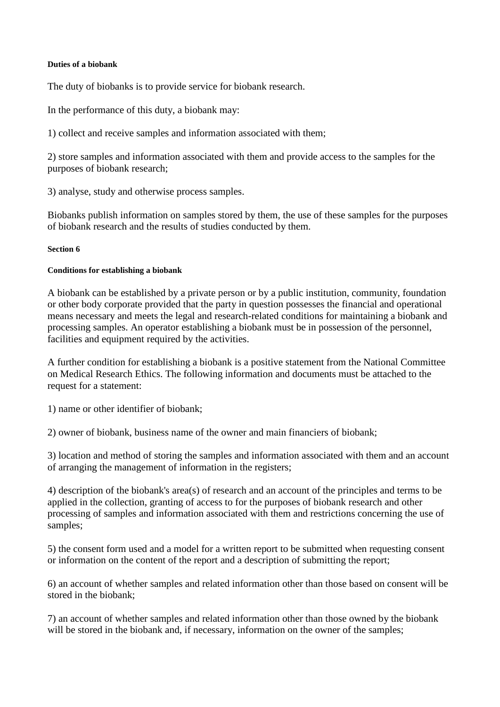#### **Duties of a biobank**

The duty of biobanks is to provide service for biobank research.

In the performance of this duty, a biobank may:

1) collect and receive samples and information associated with them;

2) store samples and information associated with them and provide access to the samples for the purposes of biobank research;

3) analyse, study and otherwise process samples.

Biobanks publish information on samples stored by them, the use of these samples for the purposes of biobank research and the results of studies conducted by them.

#### **Section 6**

# **Conditions for establishing a biobank**

A biobank can be established by a private person or by a public institution, community, foundation or other body corporate provided that the party in question possesses the financial and operational means necessary and meets the legal and research-related conditions for maintaining a biobank and processing samples. An operator establishing a biobank must be in possession of the personnel, facilities and equipment required by the activities.

A further condition for establishing a biobank is a positive statement from the National Committee on Medical Research Ethics. The following information and documents must be attached to the request for a statement:

1) name or other identifier of biobank;

2) owner of biobank, business name of the owner and main financiers of biobank;

3) location and method of storing the samples and information associated with them and an account of arranging the management of information in the registers;

4) description of the biobank's area(s) of research and an account of the principles and terms to be applied in the collection, granting of access to for the purposes of biobank research and other processing of samples and information associated with them and restrictions concerning the use of samples;

5) the consent form used and a model for a written report to be submitted when requesting consent or information on the content of the report and a description of submitting the report;

6) an account of whether samples and related information other than those based on consent will be stored in the biobank;

7) an account of whether samples and related information other than those owned by the biobank will be stored in the biobank and, if necessary, information on the owner of the samples;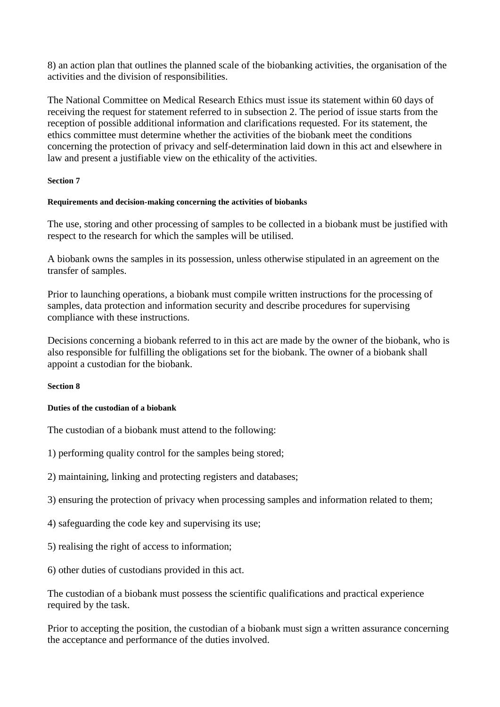8) an action plan that outlines the planned scale of the biobanking activities, the organisation of the activities and the division of responsibilities.

The National Committee on Medical Research Ethics must issue its statement within 60 days of receiving the request for statement referred to in subsection 2. The period of issue starts from the reception of possible additional information and clarifications requested. For its statement, the ethics committee must determine whether the activities of the biobank meet the conditions concerning the protection of privacy and self-determination laid down in this act and elsewhere in law and present a justifiable view on the ethicality of the activities.

# **Section 7**

#### **Requirements and decision-making concerning the activities of biobanks**

The use, storing and other processing of samples to be collected in a biobank must be justified with respect to the research for which the samples will be utilised.

A biobank owns the samples in its possession, unless otherwise stipulated in an agreement on the transfer of samples.

Prior to launching operations, a biobank must compile written instructions for the processing of samples, data protection and information security and describe procedures for supervising compliance with these instructions.

Decisions concerning a biobank referred to in this act are made by the owner of the biobank, who is also responsible for fulfilling the obligations set for the biobank. The owner of a biobank shall appoint a custodian for the biobank.

#### **Section 8**

# **Duties of the custodian of a biobank**

The custodian of a biobank must attend to the following:

- 1) performing quality control for the samples being stored;
- 2) maintaining, linking and protecting registers and databases;
- 3) ensuring the protection of privacy when processing samples and information related to them;
- 4) safeguarding the code key and supervising its use;
- 5) realising the right of access to information;
- 6) other duties of custodians provided in this act.

The custodian of a biobank must possess the scientific qualifications and practical experience required by the task.

Prior to accepting the position, the custodian of a biobank must sign a written assurance concerning the acceptance and performance of the duties involved.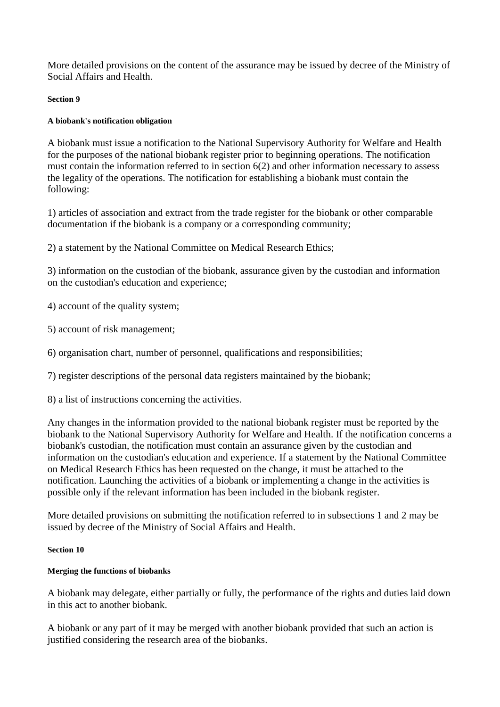More detailed provisions on the content of the assurance may be issued by decree of the Ministry of Social Affairs and Health.

### **Section 9**

# **A biobank's notification obligation**

A biobank must issue a notification to the National Supervisory Authority for Welfare and Health for the purposes of the national biobank register prior to beginning operations. The notification must contain the information referred to in section 6(2) and other information necessary to assess the legality of the operations. The notification for establishing a biobank must contain the following:

1) articles of association and extract from the trade register for the biobank or other comparable documentation if the biobank is a company or a corresponding community;

2) a statement by the National Committee on Medical Research Ethics;

3) information on the custodian of the biobank, assurance given by the custodian and information on the custodian's education and experience;

4) account of the quality system;

5) account of risk management;

6) organisation chart, number of personnel, qualifications and responsibilities;

7) register descriptions of the personal data registers maintained by the biobank;

8) a list of instructions concerning the activities.

Any changes in the information provided to the national biobank register must be reported by the biobank to the National Supervisory Authority for Welfare and Health. If the notification concerns a biobank's custodian, the notification must contain an assurance given by the custodian and information on the custodian's education and experience. If a statement by the National Committee on Medical Research Ethics has been requested on the change, it must be attached to the notification. Launching the activities of a biobank or implementing a change in the activities is possible only if the relevant information has been included in the biobank register.

More detailed provisions on submitting the notification referred to in subsections 1 and 2 may be issued by decree of the Ministry of Social Affairs and Health.

#### **Section 10**

# **Merging the functions of biobanks**

A biobank may delegate, either partially or fully, the performance of the rights and duties laid down in this act to another biobank.

A biobank or any part of it may be merged with another biobank provided that such an action is justified considering the research area of the biobanks.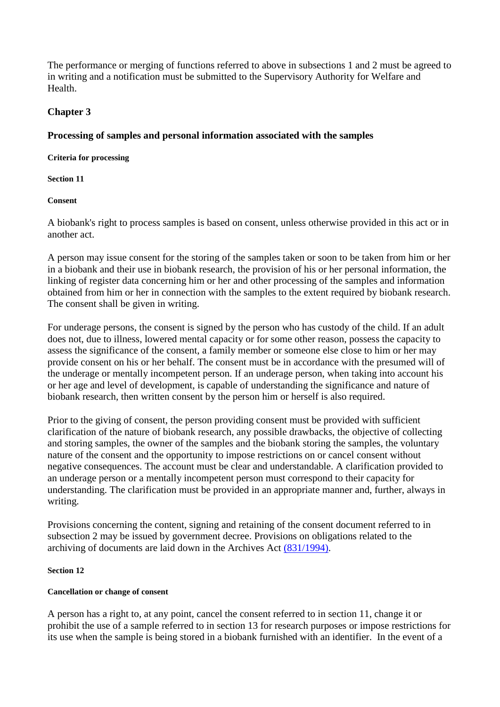The performance or merging of functions referred to above in subsections 1 and 2 must be agreed to in writing and a notification must be submitted to the Supervisory Authority for Welfare and Health.

# **Chapter 3**

# **Processing of samples and personal information associated with the samples**

### **Criteria for processing**

**Section 11**

#### **Consent**

A biobank's right to process samples is based on consent, unless otherwise provided in this act or in another act.

A person may issue consent for the storing of the samples taken or soon to be taken from him or her in a biobank and their use in biobank research, the provision of his or her personal information, the linking of register data concerning him or her and other processing of the samples and information obtained from him or her in connection with the samples to the extent required by biobank research. The consent shall be given in writing.

For underage persons, the consent is signed by the person who has custody of the child. If an adult does not, due to illness, lowered mental capacity or for some other reason, possess the capacity to assess the significance of the consent, a family member or someone else close to him or her may provide consent on his or her behalf. The consent must be in accordance with the presumed will of the underage or mentally incompetent person. If an underage person, when taking into account his or her age and level of development, is capable of understanding the significance and nature of biobank research, then written consent by the person him or herself is also required.

Prior to the giving of consent, the person providing consent must be provided with sufficient clarification of the nature of biobank research, any possible drawbacks, the objective of collecting and storing samples, the owner of the samples and the biobank storing the samples, the voluntary nature of the consent and the opportunity to impose restrictions on or cancel consent without negative consequences. The account must be clear and understandable. A clarification provided to an underage person or a mentally incompetent person must correspond to their capacity for understanding. The clarification must be provided in an appropriate manner and, further, always in writing.

Provisions concerning the content, signing and retaining of the consent document referred to in subsection 2 may be issued by government decree. Provisions on obligations related to the archiving of documents are laid down in the Archives Act [\(831/1994\).](http://www.finlex.fi/fi/laki/ajantasa/1994/19940831)

#### **Section 12**

# **Cancellation or change of consent**

A person has a right to, at any point, cancel the consent referred to in section 11, change it or prohibit the use of a sample referred to in section 13 for research purposes or impose restrictions for its use when the sample is being stored in a biobank furnished with an identifier. In the event of a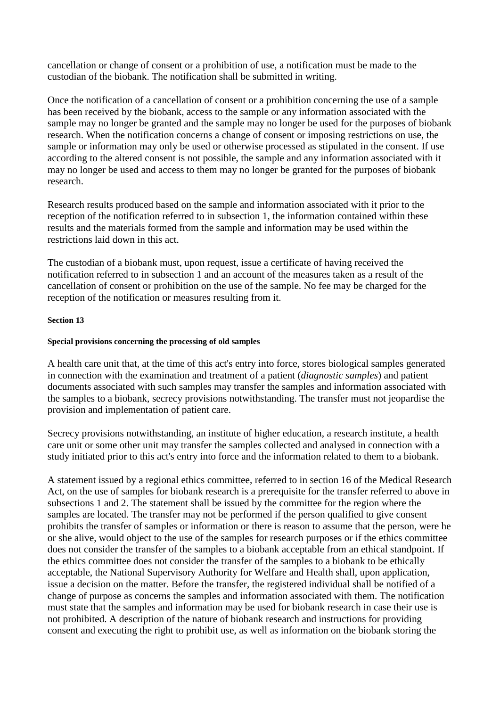cancellation or change of consent or a prohibition of use, a notification must be made to the custodian of the biobank. The notification shall be submitted in writing.

Once the notification of a cancellation of consent or a prohibition concerning the use of a sample has been received by the biobank, access to the sample or any information associated with the sample may no longer be granted and the sample may no longer be used for the purposes of biobank research. When the notification concerns a change of consent or imposing restrictions on use, the sample or information may only be used or otherwise processed as stipulated in the consent. If use according to the altered consent is not possible, the sample and any information associated with it may no longer be used and access to them may no longer be granted for the purposes of biobank research.

Research results produced based on the sample and information associated with it prior to the reception of the notification referred to in subsection 1, the information contained within these results and the materials formed from the sample and information may be used within the restrictions laid down in this act.

The custodian of a biobank must, upon request, issue a certificate of having received the notification referred to in subsection 1 and an account of the measures taken as a result of the cancellation of consent or prohibition on the use of the sample. No fee may be charged for the reception of the notification or measures resulting from it.

#### **Section 13**

#### **Special provisions concerning the processing of old samples**

A health care unit that, at the time of this act's entry into force, stores biological samples generated in connection with the examination and treatment of a patient (*diagnostic samples*) and patient documents associated with such samples may transfer the samples and information associated with the samples to a biobank, secrecy provisions notwithstanding. The transfer must not jeopardise the provision and implementation of patient care.

Secrecy provisions notwithstanding, an institute of higher education, a research institute, a health care unit or some other unit may transfer the samples collected and analysed in connection with a study initiated prior to this act's entry into force and the information related to them to a biobank.

A statement issued by a regional ethics committee, referred to in section 16 of the Medical Research Act, on the use of samples for biobank research is a prerequisite for the transfer referred to above in subsections 1 and 2. The statement shall be issued by the committee for the region where the samples are located. The transfer may not be performed if the person qualified to give consent prohibits the transfer of samples or information or there is reason to assume that the person, were he or she alive, would object to the use of the samples for research purposes or if the ethics committee does not consider the transfer of the samples to a biobank acceptable from an ethical standpoint. If the ethics committee does not consider the transfer of the samples to a biobank to be ethically acceptable, the National Supervisory Authority for Welfare and Health shall, upon application, issue a decision on the matter. Before the transfer, the registered individual shall be notified of a change of purpose as concerns the samples and information associated with them. The notification must state that the samples and information may be used for biobank research in case their use is not prohibited. A description of the nature of biobank research and instructions for providing consent and executing the right to prohibit use, as well as information on the biobank storing the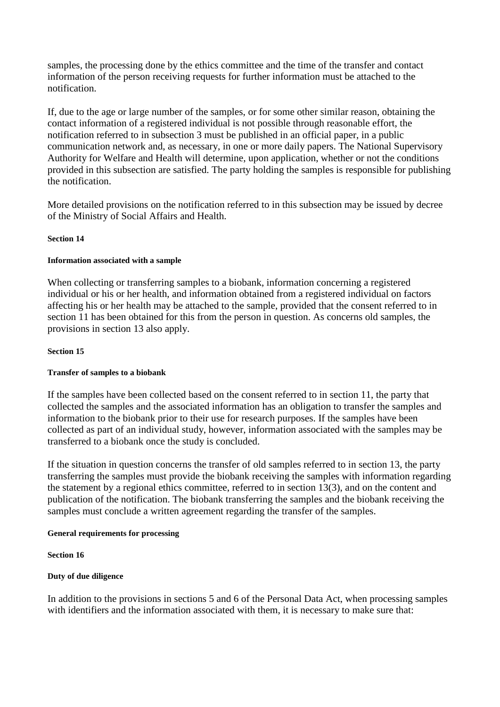samples, the processing done by the ethics committee and the time of the transfer and contact information of the person receiving requests for further information must be attached to the notification.

If, due to the age or large number of the samples, or for some other similar reason, obtaining the contact information of a registered individual is not possible through reasonable effort, the notification referred to in subsection 3 must be published in an official paper, in a public communication network and, as necessary, in one or more daily papers. The National Supervisory Authority for Welfare and Health will determine, upon application, whether or not the conditions provided in this subsection are satisfied. The party holding the samples is responsible for publishing the notification.

More detailed provisions on the notification referred to in this subsection may be issued by decree of the Ministry of Social Affairs and Health.

#### **Section 14**

#### **Information associated with a sample**

When collecting or transferring samples to a biobank, information concerning a registered individual or his or her health, and information obtained from a registered individual on factors affecting his or her health may be attached to the sample, provided that the consent referred to in section 11 has been obtained for this from the person in question. As concerns old samples, the provisions in section 13 also apply.

#### **Section 15**

# **Transfer of samples to a biobank**

If the samples have been collected based on the consent referred to in section 11, the party that collected the samples and the associated information has an obligation to transfer the samples and information to the biobank prior to their use for research purposes. If the samples have been collected as part of an individual study, however, information associated with the samples may be transferred to a biobank once the study is concluded.

If the situation in question concerns the transfer of old samples referred to in section 13, the party transferring the samples must provide the biobank receiving the samples with information regarding the statement by a regional ethics committee, referred to in section 13(3), and on the content and publication of the notification. The biobank transferring the samples and the biobank receiving the samples must conclude a written agreement regarding the transfer of the samples.

#### **General requirements for processing**

#### **Section 16**

# **Duty of due diligence**

In addition to the provisions in sections 5 and 6 of the Personal Data Act, when processing samples with identifiers and the information associated with them, it is necessary to make sure that: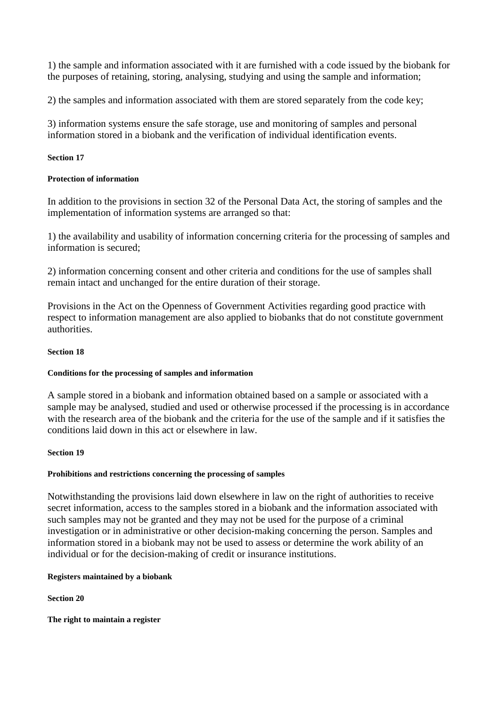1) the sample and information associated with it are furnished with a code issued by the biobank for the purposes of retaining, storing, analysing, studying and using the sample and information;

2) the samples and information associated with them are stored separately from the code key;

3) information systems ensure the safe storage, use and monitoring of samples and personal information stored in a biobank and the verification of individual identification events.

#### **Section 17**

#### **Protection of information**

In addition to the provisions in section 32 of the Personal Data Act, the storing of samples and the implementation of information systems are arranged so that:

1) the availability and usability of information concerning criteria for the processing of samples and information is secured;

2) information concerning consent and other criteria and conditions for the use of samples shall remain intact and unchanged for the entire duration of their storage.

Provisions in the Act on the Openness of Government Activities regarding good practice with respect to information management are also applied to biobanks that do not constitute government authorities.

#### **Section 18**

# **Conditions for the processing of samples and information**

A sample stored in a biobank and information obtained based on a sample or associated with a sample may be analysed, studied and used or otherwise processed if the processing is in accordance with the research area of the biobank and the criteria for the use of the sample and if it satisfies the conditions laid down in this act or elsewhere in law.

#### **Section 19**

#### **Prohibitions and restrictions concerning the processing of samples**

Notwithstanding the provisions laid down elsewhere in law on the right of authorities to receive secret information, access to the samples stored in a biobank and the information associated with such samples may not be granted and they may not be used for the purpose of a criminal investigation or in administrative or other decision-making concerning the person. Samples and information stored in a biobank may not be used to assess or determine the work ability of an individual or for the decision-making of credit or insurance institutions.

#### **Registers maintained by a biobank**

**Section 20**

**The right to maintain a register**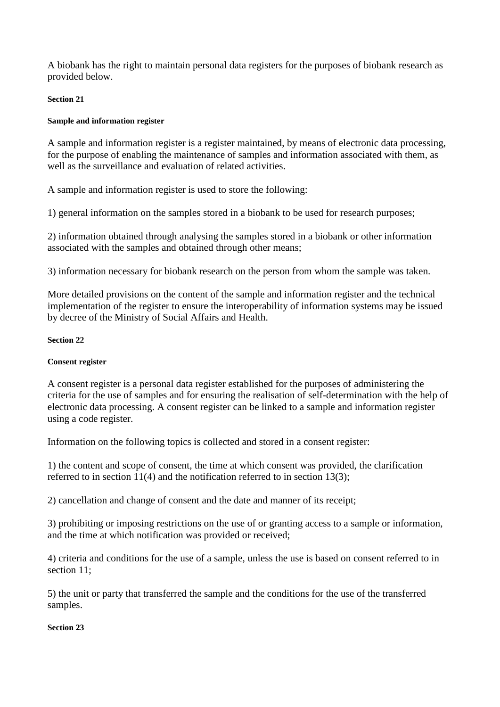A biobank has the right to maintain personal data registers for the purposes of biobank research as provided below.

# **Section 21**

# **Sample and information register**

A sample and information register is a register maintained, by means of electronic data processing, for the purpose of enabling the maintenance of samples and information associated with them, as well as the surveillance and evaluation of related activities.

A sample and information register is used to store the following:

1) general information on the samples stored in a biobank to be used for research purposes;

2) information obtained through analysing the samples stored in a biobank or other information associated with the samples and obtained through other means;

3) information necessary for biobank research on the person from whom the sample was taken.

More detailed provisions on the content of the sample and information register and the technical implementation of the register to ensure the interoperability of information systems may be issued by decree of the Ministry of Social Affairs and Health.

# **Section 22**

# **Consent register**

A consent register is a personal data register established for the purposes of administering the criteria for the use of samples and for ensuring the realisation of self-determination with the help of electronic data processing. A consent register can be linked to a sample and information register using a code register.

Information on the following topics is collected and stored in a consent register:

1) the content and scope of consent, the time at which consent was provided, the clarification referred to in section 11(4) and the notification referred to in section 13(3);

2) cancellation and change of consent and the date and manner of its receipt;

3) prohibiting or imposing restrictions on the use of or granting access to a sample or information, and the time at which notification was provided or received;

4) criteria and conditions for the use of a sample, unless the use is based on consent referred to in section 11;

5) the unit or party that transferred the sample and the conditions for the use of the transferred samples.

# **Section 23**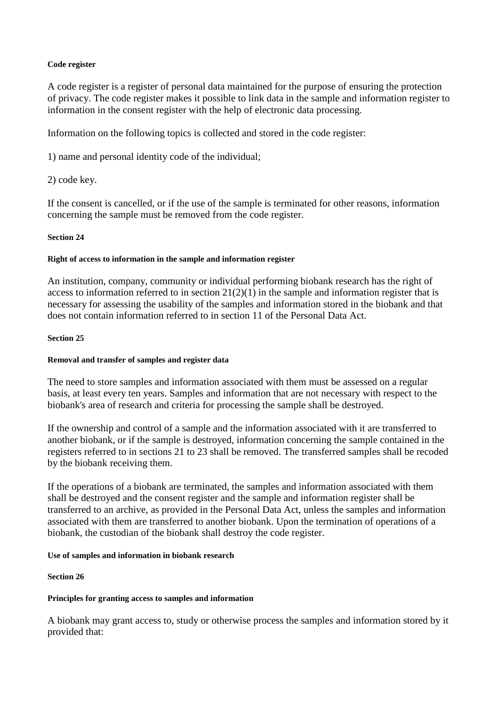#### **Code register**

A code register is a register of personal data maintained for the purpose of ensuring the protection of privacy. The code register makes it possible to link data in the sample and information register to information in the consent register with the help of electronic data processing.

Information on the following topics is collected and stored in the code register:

1) name and personal identity code of the individual;

2) code key.

If the consent is cancelled, or if the use of the sample is terminated for other reasons, information concerning the sample must be removed from the code register.

### **Section 24**

#### **Right of access to information in the sample and information register**

An institution, company, community or individual performing biobank research has the right of access to information referred to in section  $21(2)(1)$  in the sample and information register that is necessary for assessing the usability of the samples and information stored in the biobank and that does not contain information referred to in section 11 of the Personal Data Act.

#### **Section 25**

#### **Removal and transfer of samples and register data**

The need to store samples and information associated with them must be assessed on a regular basis, at least every ten years. Samples and information that are not necessary with respect to the biobank's area of research and criteria for processing the sample shall be destroyed.

If the ownership and control of a sample and the information associated with it are transferred to another biobank, or if the sample is destroyed, information concerning the sample contained in the registers referred to in sections 21 to 23 shall be removed. The transferred samples shall be recoded by the biobank receiving them.

If the operations of a biobank are terminated, the samples and information associated with them shall be destroyed and the consent register and the sample and information register shall be transferred to an archive, as provided in the Personal Data Act, unless the samples and information associated with them are transferred to another biobank. Upon the termination of operations of a biobank, the custodian of the biobank shall destroy the code register.

#### **Use of samples and information in biobank research**

**Section 26**

#### **Principles for granting access to samples and information**

A biobank may grant access to, study or otherwise process the samples and information stored by it provided that: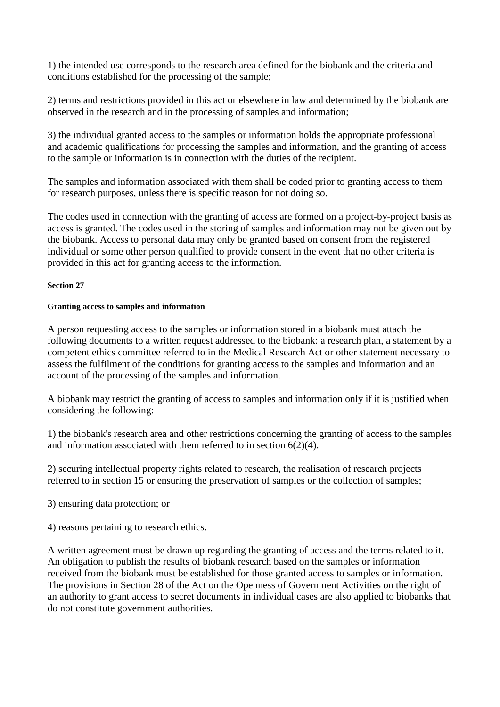1) the intended use corresponds to the research area defined for the biobank and the criteria and conditions established for the processing of the sample;

2) terms and restrictions provided in this act or elsewhere in law and determined by the biobank are observed in the research and in the processing of samples and information;

3) the individual granted access to the samples or information holds the appropriate professional and academic qualifications for processing the samples and information, and the granting of access to the sample or information is in connection with the duties of the recipient.

The samples and information associated with them shall be coded prior to granting access to them for research purposes, unless there is specific reason for not doing so.

The codes used in connection with the granting of access are formed on a project-by-project basis as access is granted. The codes used in the storing of samples and information may not be given out by the biobank. Access to personal data may only be granted based on consent from the registered individual or some other person qualified to provide consent in the event that no other criteria is provided in this act for granting access to the information.

#### **Section 27**

#### **Granting access to samples and information**

A person requesting access to the samples or information stored in a biobank must attach the following documents to a written request addressed to the biobank: a research plan, a statement by a competent ethics committee referred to in the Medical Research Act or other statement necessary to assess the fulfilment of the conditions for granting access to the samples and information and an account of the processing of the samples and information.

A biobank may restrict the granting of access to samples and information only if it is justified when considering the following:

1) the biobank's research area and other restrictions concerning the granting of access to the samples and information associated with them referred to in section  $6(2)(4)$ .

2) securing intellectual property rights related to research, the realisation of research projects referred to in section 15 or ensuring the preservation of samples or the collection of samples;

3) ensuring data protection; or

4) reasons pertaining to research ethics.

A written agreement must be drawn up regarding the granting of access and the terms related to it. An obligation to publish the results of biobank research based on the samples or information received from the biobank must be established for those granted access to samples or information. The provisions in Section 28 of the Act on the Openness of Government Activities on the right of an authority to grant access to secret documents in individual cases are also applied to biobanks that do not constitute government authorities.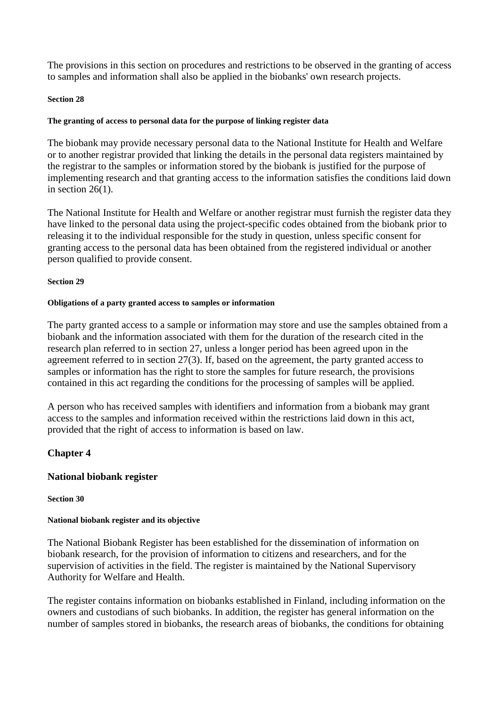The provisions in this section on procedures and restrictions to be observed in the granting of access to samples and information shall also be applied in the biobanks' own research projects.

### **Section 28**

#### **The granting of access to personal data for the purpose of linking register data**

The biobank may provide necessary personal data to the National Institute for Health and Welfare or to another registrar provided that linking the details in the personal data registers maintained by the registrar to the samples or information stored by the biobank is justified for the purpose of implementing research and that granting access to the information satisfies the conditions laid down in section 26(1).

The National Institute for Health and Welfare or another registrar must furnish the register data they have linked to the personal data using the project-specific codes obtained from the biobank prior to releasing it to the individual responsible for the study in question, unless specific consent for granting access to the personal data has been obtained from the registered individual or another person qualified to provide consent.

#### **Section 29**

#### **Obligations of a party granted access to samples or information**

The party granted access to a sample or information may store and use the samples obtained from a biobank and the information associated with them for the duration of the research cited in the research plan referred to in section 27, unless a longer period has been agreed upon in the agreement referred to in section 27(3). If, based on the agreement, the party granted access to samples or information has the right to store the samples for future research, the provisions contained in this act regarding the conditions for the processing of samples will be applied.

A person who has received samples with identifiers and information from a biobank may grant access to the samples and information received within the restrictions laid down in this act, provided that the right of access to information is based on law.

# **Chapter 4**

# **National biobank register**

#### **Section 30**

# **National biobank register and its objective**

The National Biobank Register has been established for the dissemination of information on biobank research, for the provision of information to citizens and researchers, and for the supervision of activities in the field. The register is maintained by the National Supervisory Authority for Welfare and Health.

The register contains information on biobanks established in Finland, including information on the owners and custodians of such biobanks. In addition, the register has general information on the number of samples stored in biobanks, the research areas of biobanks, the conditions for obtaining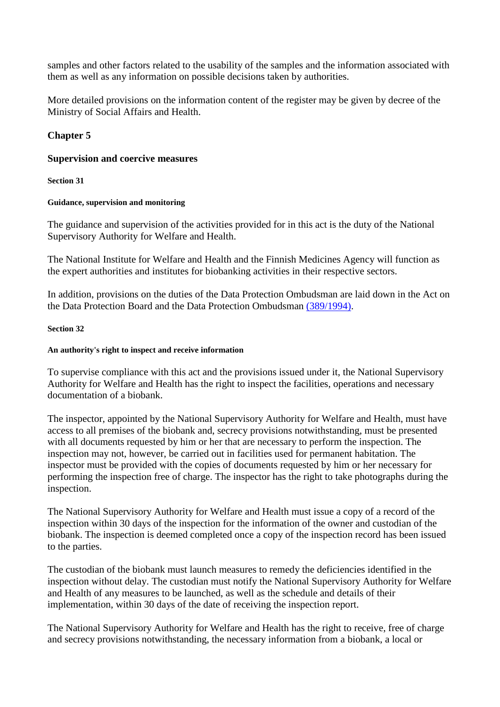samples and other factors related to the usability of the samples and the information associated with them as well as any information on possible decisions taken by authorities.

More detailed provisions on the information content of the register may be given by decree of the Ministry of Social Affairs and Health.

# **Chapter 5**

#### **Supervision and coercive measures**

**Section 31**

#### **Guidance, supervision and monitoring**

The guidance and supervision of the activities provided for in this act is the duty of the National Supervisory Authority for Welfare and Health.

The National Institute for Welfare and Health and the Finnish Medicines Agency will function as the expert authorities and institutes for biobanking activities in their respective sectors.

In addition, provisions on the duties of the Data Protection Ombudsman are laid down in the Act on the Data Protection Board and the Data Protection Ombudsman [\(389/1994\).](http://www.finlex.fi/fi/laki/ajantasa/1994/19940389)

#### **Section 32**

#### **An authority's right to inspect and receive information**

To supervise compliance with this act and the provisions issued under it, the National Supervisory Authority for Welfare and Health has the right to inspect the facilities, operations and necessary documentation of a biobank.

The inspector, appointed by the National Supervisory Authority for Welfare and Health, must have access to all premises of the biobank and, secrecy provisions notwithstanding, must be presented with all documents requested by him or her that are necessary to perform the inspection. The inspection may not, however, be carried out in facilities used for permanent habitation. The inspector must be provided with the copies of documents requested by him or her necessary for performing the inspection free of charge. The inspector has the right to take photographs during the inspection.

The National Supervisory Authority for Welfare and Health must issue a copy of a record of the inspection within 30 days of the inspection for the information of the owner and custodian of the biobank. The inspection is deemed completed once a copy of the inspection record has been issued to the parties.

The custodian of the biobank must launch measures to remedy the deficiencies identified in the inspection without delay. The custodian must notify the National Supervisory Authority for Welfare and Health of any measures to be launched, as well as the schedule and details of their implementation, within 30 days of the date of receiving the inspection report.

The National Supervisory Authority for Welfare and Health has the right to receive, free of charge and secrecy provisions notwithstanding, the necessary information from a biobank, a local or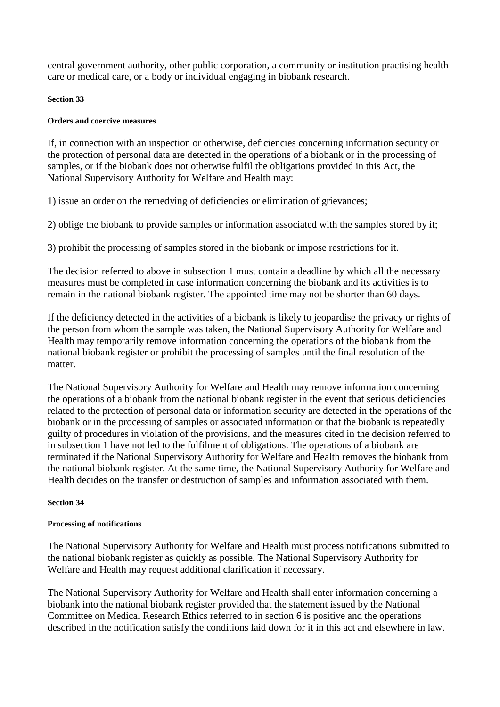central government authority, other public corporation, a community or institution practising health care or medical care, or a body or individual engaging in biobank research.

#### **Section 33**

#### **Orders and coercive measures**

If, in connection with an inspection or otherwise, deficiencies concerning information security or the protection of personal data are detected in the operations of a biobank or in the processing of samples, or if the biobank does not otherwise fulfil the obligations provided in this Act, the National Supervisory Authority for Welfare and Health may:

1) issue an order on the remedying of deficiencies or elimination of grievances;

2) oblige the biobank to provide samples or information associated with the samples stored by it;

3) prohibit the processing of samples stored in the biobank or impose restrictions for it.

The decision referred to above in subsection 1 must contain a deadline by which all the necessary measures must be completed in case information concerning the biobank and its activities is to remain in the national biobank register. The appointed time may not be shorter than 60 days.

If the deficiency detected in the activities of a biobank is likely to jeopardise the privacy or rights of the person from whom the sample was taken, the National Supervisory Authority for Welfare and Health may temporarily remove information concerning the operations of the biobank from the national biobank register or prohibit the processing of samples until the final resolution of the matter.

The National Supervisory Authority for Welfare and Health may remove information concerning the operations of a biobank from the national biobank register in the event that serious deficiencies related to the protection of personal data or information security are detected in the operations of the biobank or in the processing of samples or associated information or that the biobank is repeatedly guilty of procedures in violation of the provisions, and the measures cited in the decision referred to in subsection 1 have not led to the fulfilment of obligations. The operations of a biobank are terminated if the National Supervisory Authority for Welfare and Health removes the biobank from the national biobank register. At the same time, the National Supervisory Authority for Welfare and Health decides on the transfer or destruction of samples and information associated with them.

#### **Section 34**

# **Processing of notifications**

The National Supervisory Authority for Welfare and Health must process notifications submitted to the national biobank register as quickly as possible. The National Supervisory Authority for Welfare and Health may request additional clarification if necessary.

The National Supervisory Authority for Welfare and Health shall enter information concerning a biobank into the national biobank register provided that the statement issued by the National Committee on Medical Research Ethics referred to in section 6 is positive and the operations described in the notification satisfy the conditions laid down for it in this act and elsewhere in law.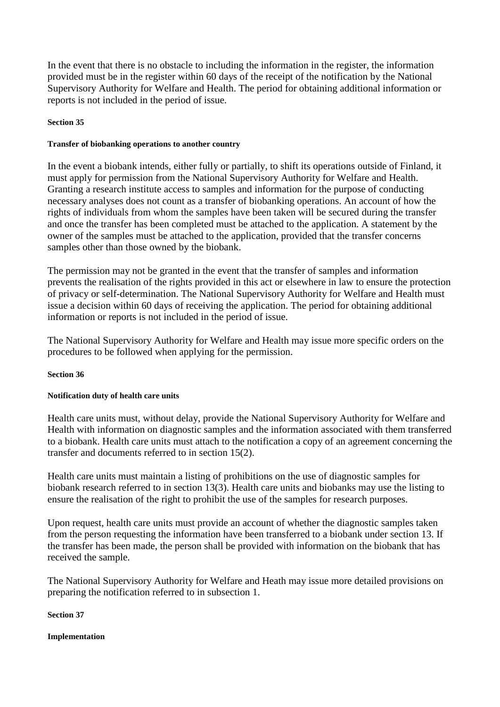In the event that there is no obstacle to including the information in the register, the information provided must be in the register within 60 days of the receipt of the notification by the National Supervisory Authority for Welfare and Health. The period for obtaining additional information or reports is not included in the period of issue.

### **Section 35**

### **Transfer of biobanking operations to another country**

In the event a biobank intends, either fully or partially, to shift its operations outside of Finland, it must apply for permission from the National Supervisory Authority for Welfare and Health. Granting a research institute access to samples and information for the purpose of conducting necessary analyses does not count as a transfer of biobanking operations. An account of how the rights of individuals from whom the samples have been taken will be secured during the transfer and once the transfer has been completed must be attached to the application. A statement by the owner of the samples must be attached to the application, provided that the transfer concerns samples other than those owned by the biobank.

The permission may not be granted in the event that the transfer of samples and information prevents the realisation of the rights provided in this act or elsewhere in law to ensure the protection of privacy or self-determination. The National Supervisory Authority for Welfare and Health must issue a decision within 60 days of receiving the application. The period for obtaining additional information or reports is not included in the period of issue.

The National Supervisory Authority for Welfare and Health may issue more specific orders on the procedures to be followed when applying for the permission.

#### **Section 36**

# **Notification duty of health care units**

Health care units must, without delay, provide the National Supervisory Authority for Welfare and Health with information on diagnostic samples and the information associated with them transferred to a biobank. Health care units must attach to the notification a copy of an agreement concerning the transfer and documents referred to in section 15(2).

Health care units must maintain a listing of prohibitions on the use of diagnostic samples for biobank research referred to in section 13(3). Health care units and biobanks may use the listing to ensure the realisation of the right to prohibit the use of the samples for research purposes.

Upon request, health care units must provide an account of whether the diagnostic samples taken from the person requesting the information have been transferred to a biobank under section 13. If the transfer has been made, the person shall be provided with information on the biobank that has received the sample.

The National Supervisory Authority for Welfare and Heath may issue more detailed provisions on preparing the notification referred to in subsection 1.

#### **Section 37**

#### **Implementation**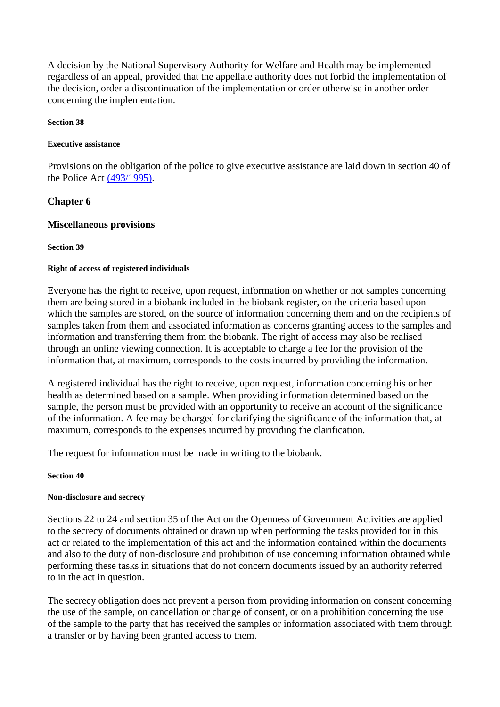A decision by the National Supervisory Authority for Welfare and Health may be implemented regardless of an appeal, provided that the appellate authority does not forbid the implementation of the decision, order a discontinuation of the implementation or order otherwise in another order concerning the implementation.

#### **Section 38**

#### **Executive assistance**

Provisions on the obligation of the police to give executive assistance are laid down in section 40 of the Police Act [\(493/1995\).](http://www.finlex.fi/fi/laki/ajantasa/1995/19950493)

# **Chapter 6**

# **Miscellaneous provisions**

# **Section 39**

# **Right of access of registered individuals**

Everyone has the right to receive, upon request, information on whether or not samples concerning them are being stored in a biobank included in the biobank register, on the criteria based upon which the samples are stored, on the source of information concerning them and on the recipients of samples taken from them and associated information as concerns granting access to the samples and information and transferring them from the biobank. The right of access may also be realised through an online viewing connection. It is acceptable to charge a fee for the provision of the information that, at maximum, corresponds to the costs incurred by providing the information.

A registered individual has the right to receive, upon request, information concerning his or her health as determined based on a sample. When providing information determined based on the sample, the person must be provided with an opportunity to receive an account of the significance of the information. A fee may be charged for clarifying the significance of the information that, at maximum, corresponds to the expenses incurred by providing the clarification.

The request for information must be made in writing to the biobank.

#### **Section 40**

# **Non-disclosure and secrecy**

Sections 22 to 24 and section 35 of the Act on the Openness of Government Activities are applied to the secrecy of documents obtained or drawn up when performing the tasks provided for in this act or related to the implementation of this act and the information contained within the documents and also to the duty of non-disclosure and prohibition of use concerning information obtained while performing these tasks in situations that do not concern documents issued by an authority referred to in the act in question.

The secrecy obligation does not prevent a person from providing information on consent concerning the use of the sample, on cancellation or change of consent, or on a prohibition concerning the use of the sample to the party that has received the samples or information associated with them through a transfer or by having been granted access to them.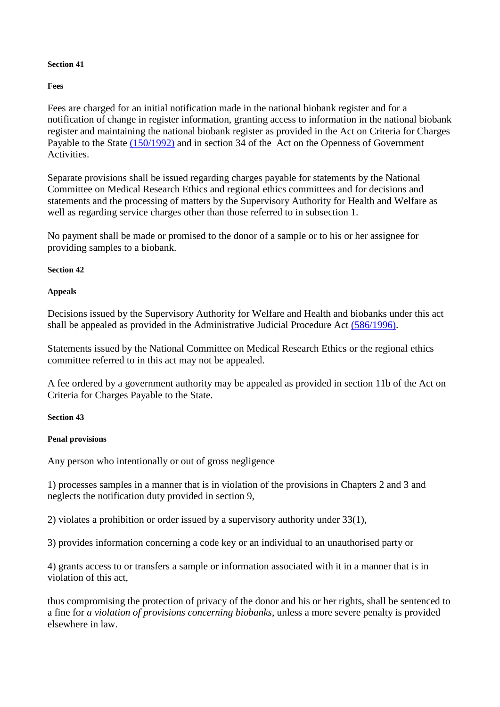#### **Section 41**

#### **Fees**

Fees are charged for an initial notification made in the national biobank register and for a notification of change in register information, granting access to information in the national biobank register and maintaining the national biobank register as provided in the Act on Criteria for Charges Payable to the State [\(150/1992\)](http://www.finlex.fi/fi/laki/ajantasa/1992/19920150) and in section 34 of the Act on the Openness of Government Activities.

Separate provisions shall be issued regarding charges payable for statements by the National Committee on Medical Research Ethics and regional ethics committees and for decisions and statements and the processing of matters by the Supervisory Authority for Health and Welfare as well as regarding service charges other than those referred to in subsection 1.

No payment shall be made or promised to the donor of a sample or to his or her assignee for providing samples to a biobank.

#### **Section 42**

#### **Appeals**

Decisions issued by the Supervisory Authority for Welfare and Health and biobanks under this act shall be appealed as provided in the Administrative Judicial Procedure Act [\(586/1996\).](http://www.finlex.fi/fi/laki/ajantasa/1996/19960586)

Statements issued by the National Committee on Medical Research Ethics or the regional ethics committee referred to in this act may not be appealed.

A fee ordered by a government authority may be appealed as provided in section 11b of the Act on Criteria for Charges Payable to the State.

# **Section 43**

# **Penal provisions**

Any person who intentionally or out of gross negligence

1) processes samples in a manner that is in violation of the provisions in Chapters 2 and 3 and neglects the notification duty provided in section 9,

2) violates a prohibition or order issued by a supervisory authority under 33(1),

3) provides information concerning a code key or an individual to an unauthorised party or

4) grants access to or transfers a sample or information associated with it in a manner that is in violation of this act,

thus compromising the protection of privacy of the donor and his or her rights, shall be sentenced to a fine for *a violation of provisions concerning biobanks*, unless a more severe penalty is provided elsewhere in law.